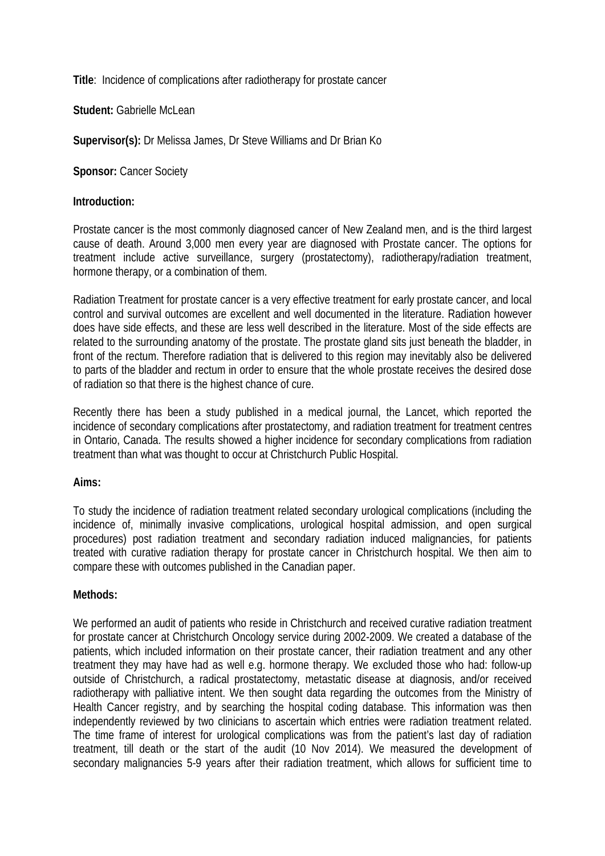**Title**: Incidence of complications after radiotherapy for prostate cancer

Student: Gabrielle McLean

**Supervisor(s):** Dr Melissa James, Dr Steve Williams and Dr Brian Ko

**Sponsor: Cancer Society** 

## **Introduction:**

Prostate cancer is the most commonly diagnosed cancer of New Zealand men, and is the third largest cause of death. Around 3,000 men every year are diagnosed with Prostate cancer. The options for treatment include active surveillance, surgery (prostatectomy), radiotherapy/radiation treatment, hormone therapy, or a combination of them.

Radiation Treatment for prostate cancer is a very effective treatment for early prostate cancer, and local control and survival outcomes are excellent and well documented in the literature. Radiation however does have side effects, and these are less well described in the literature. Most of the side effects are related to the surrounding anatomy of the prostate. The prostate gland sits just beneath the bladder, in front of the rectum. Therefore radiation that is delivered to this region may inevitably also be delivered to parts of the bladder and rectum in order to ensure that the whole prostate receives the desired dose of radiation so that there is the highest chance of cure.

Recently there has been a study published in a medical journal, the Lancet, which reported the incidence of secondary complications after prostatectomy, and radiation treatment for treatment centres in Ontario, Canada. The results showed a higher incidence for secondary complications from radiation treatment than what was thought to occur at Christchurch Public Hospital.

# **Aims:**

To study the incidence of radiation treatment related secondary urological complications (including the incidence of, minimally invasive complications, urological hospital admission, and open surgical procedures) post radiation treatment and secondary radiation induced malignancies, for patients treated with curative radiation therapy for prostate cancer in Christchurch hospital. We then aim to compare these with outcomes published in the Canadian paper.

### **Methods:**

We performed an audit of patients who reside in Christchurch and received curative radiation treatment for prostate cancer at Christchurch Oncology service during 2002-2009. We created a database of the patients, which included information on their prostate cancer, their radiation treatment and any other treatment they may have had as well e.g. hormone therapy. We excluded those who had: follow-up outside of Christchurch, a radical prostatectomy, metastatic disease at diagnosis, and/or received radiotherapy with palliative intent. We then sought data regarding the outcomes from the Ministry of Health Cancer registry, and by searching the hospital coding database. This information was then independently reviewed by two clinicians to ascertain which entries were radiation treatment related. The time frame of interest for urological complications was from the patient's last day of radiation treatment, till death or the start of the audit (10 Nov 2014). We measured the development of secondary malignancies 5-9 years after their radiation treatment, which allows for sufficient time to